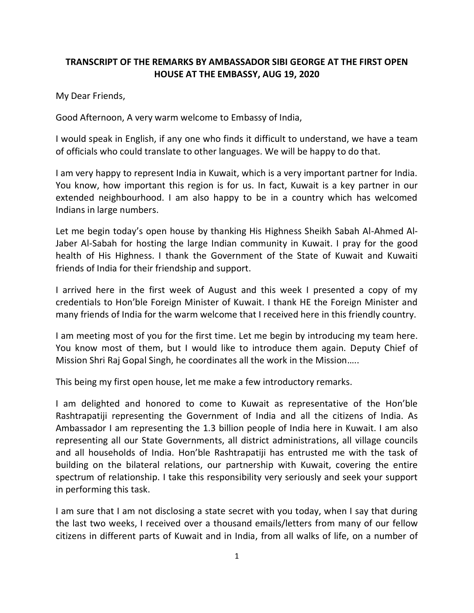## **TRANSCRIPT OF THE REMARKS BY AMBASSADOR SIBI GEORGE AT THE FIRST OPEN HOUSE AT THE EMBASSY, AUG 19, 2020**

My Dear Friends,

Good Afternoon, A very warm welcome to Embassy of India,

I would speak in English, if any one who finds it difficult to understand, we have a team of officials who could translate to other languages. We will be happy to do that.

I am very happy to represent India in Kuwait, which is a very important partner for India. You know, how important this region is for us. In fact, Kuwait is a key partner in our extended neighbourhood. I am also happy to be in a country which has welcomed Indians in large numbers.

Let me begin today's open house by thanking His Highness Sheikh Sabah Al-Ahmed Al-Jaber Al-Sabah for hosting the large Indian community in Kuwait. I pray for the good health of His Highness. I thank the Government of the State of Kuwait and Kuwaiti friends of India for their friendship and support.

I arrived here in the first week of August and this week I presented a copy of my credentials to Hon'ble Foreign Minister of Kuwait. I thank HE the Foreign Minister and many friends of India for the warm welcome that I received here in this friendly country.

I am meeting most of you for the first time. Let me begin by introducing my team here. You know most of them, but I would like to introduce them again. Deputy Chief of Mission Shri Raj Gopal Singh, he coordinates all the work in the Mission…..

This being my first open house, let me make a few introductory remarks.

I am delighted and honored to come to Kuwait as representative of the Hon'ble Rashtrapatiji representing the Government of India and all the citizens of India. As Ambassador I am representing the 1.3 billion people of India here in Kuwait. I am also representing all our State Governments, all district administrations, all village councils and all households of India. Hon'ble Rashtrapatiji has entrusted me with the task of building on the bilateral relations, our partnership with Kuwait, covering the entire spectrum of relationship. I take this responsibility very seriously and seek your support in performing this task.

I am sure that I am not disclosing a state secret with you today, when I say that during the last two weeks, I received over a thousand emails/letters from many of our fellow citizens in different parts of Kuwait and in India, from all walks of life, on a number of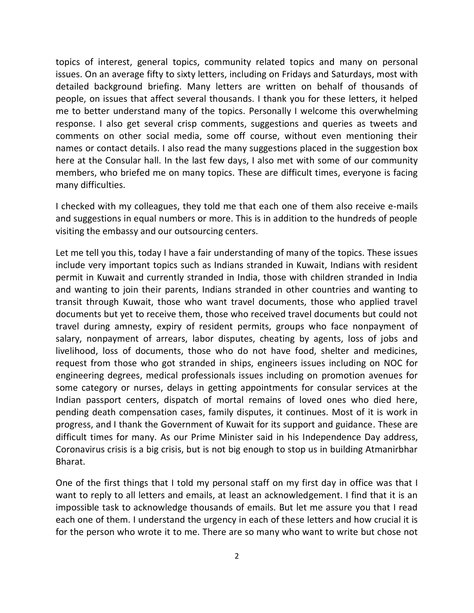topics of interest, general topics, community related topics and many on personal issues. On an average fifty to sixty letters, including on Fridays and Saturdays, most with detailed background briefing. Many letters are written on behalf of thousands of people, on issues that affect several thousands. I thank you for these letters, it helped me to better understand many of the topics. Personally I welcome this overwhelming response. I also get several crisp comments, suggestions and queries as tweets and comments on other social media, some off course, without even mentioning their names or contact details. I also read the many suggestions placed in the suggestion box here at the Consular hall. In the last few days, I also met with some of our community members, who briefed me on many topics. These are difficult times, everyone is facing many difficulties.

I checked with my colleagues, they told me that each one of them also receive e-mails and suggestions in equal numbers or more. This is in addition to the hundreds of people visiting the embassy and our outsourcing centers.

Let me tell you this, today I have a fair understanding of many of the topics. These issues include very important topics such as Indians stranded in Kuwait, Indians with resident permit in Kuwait and currently stranded in India, those with children stranded in India and wanting to join their parents, Indians stranded in other countries and wanting to transit through Kuwait, those who want travel documents, those who applied travel documents but yet to receive them, those who received travel documents but could not travel during amnesty, expiry of resident permits, groups who face nonpayment of salary, nonpayment of arrears, labor disputes, cheating by agents, loss of jobs and livelihood, loss of documents, those who do not have food, shelter and medicines, request from those who got stranded in ships, engineers issues including on NOC for engineering degrees, medical professionals issues including on promotion avenues for some category or nurses, delays in getting appointments for consular services at the Indian passport centers, dispatch of mortal remains of loved ones who died here, pending death compensation cases, family disputes, it continues. Most of it is work in progress, and I thank the Government of Kuwait for its support and guidance. These are difficult times for many. As our Prime Minister said in his Independence Day address, Coronavirus crisis is a big crisis, but is not big enough to stop us in building Atmanirbhar Bharat.

One of the first things that I told my personal staff on my first day in office was that I want to reply to all letters and emails, at least an acknowledgement. I find that it is an impossible task to acknowledge thousands of emails. But let me assure you that I read each one of them. I understand the urgency in each of these letters and how crucial it is for the person who wrote it to me. There are so many who want to write but chose not